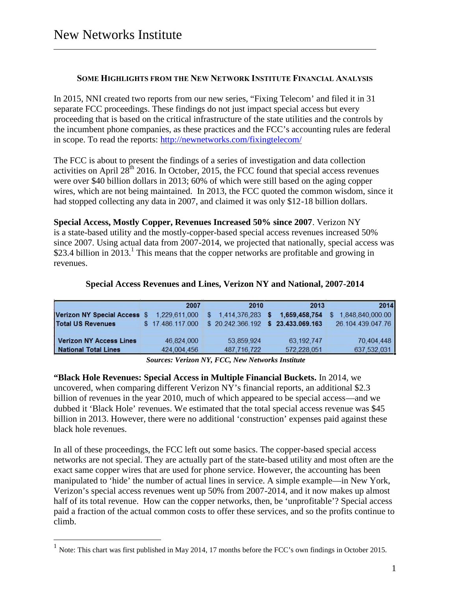## **SOME HIGHLIGHTS FROM THE NEW NETWORK INSTITUTE FINANCIAL ANALYSIS**

In 2015, NNI created two reports from our new series, "Fixing Telecom' and filed it in 31 separate FCC proceedings. These findings do not just impact special access but every proceeding that is based on the critical infrastructure of the state utilities and the controls by the incumbent phone companies, as these practices and the FCC's accounting rules are federal in scope. To read the reports: http://newnetworks.com/fixingtelecom/

The FCC is about to present the findings of a series of investigation and data collection activities on April  $28<sup>th</sup>$  2016. In October, 2015, the FCC found that special access revenues were over \$40 billion dollars in 2013; 60% of which were still based on the aging copper wires, which are not being maintained. In 2013, the FCC quoted the common wisdom, since it had stopped collecting any data in 2007, and claimed it was only \$12-18 billion dollars.

**Special Access, Mostly Copper, Revenues Increased 50% since 2007**. Verizon NY is a state-based utility and the mostly-copper-based special access revenues increased 50% since 2007. Using actual data from 2007-2014, we projected that nationally, special access was \$23.4 billion in 2013.<sup>1</sup> This means that the copper networks are profitable and growing in revenues.

## **Special Access Revenues and Lines, Verizon NY and National, 2007-2014**

|                                  | 2007                           | 2010               | 2013             | 2014              |
|----------------------------------|--------------------------------|--------------------|------------------|-------------------|
| <b>Verizon NY Special Access</b> | 1.229 611.000<br><sup>\$</sup> | 1.414.376.283<br>S | 1.659.458.754    | 1.848.840.000.00  |
| <b>Total US Revenues</b>         | \$17,486,117,000               | \$20,242,366,192   | \$23,433,069,163 | 26.104.439.047.76 |
| <b>Verizon NY Access Lines</b>   | 46.824,000                     | 53.859.924         | 63.192.747       | 70.404.448        |
| National Total Lines             | 424,004,456                    | 487,716,722        | 572.228.051      | 637,532,031       |

*Sources: Verizon NY, FCC, New Networks Institute*

**"Black Hole Revenues: Special Access in Multiple Financial Buckets.** In 2014, we uncovered, when comparing different Verizon NY's financial reports, an additional \$2.3 billion of revenues in the year 2010, much of which appeared to be special access—and we dubbed it 'Black Hole' revenues. We estimated that the total special access revenue was \$45 billion in 2013. However, there were no additional 'construction' expenses paid against these black hole revenues.

In all of these proceedings, the FCC left out some basics. The copper-based special access networks are not special. They are actually part of the state-based utility and most often are the exact same copper wires that are used for phone service. However, the accounting has been manipulated to 'hide' the number of actual lines in service. A simple example—in New York, Verizon's special access revenues went up 50% from 2007-2014, and it now makes up almost half of its total revenue. How can the copper networks, then, be 'unprofitable'? Special access paid a fraction of the actual common costs to offer these services, and so the profits continue to climb.

 $1$  Note: This chart was first published in May 2014, 17 months before the FCC's own findings in October 2015.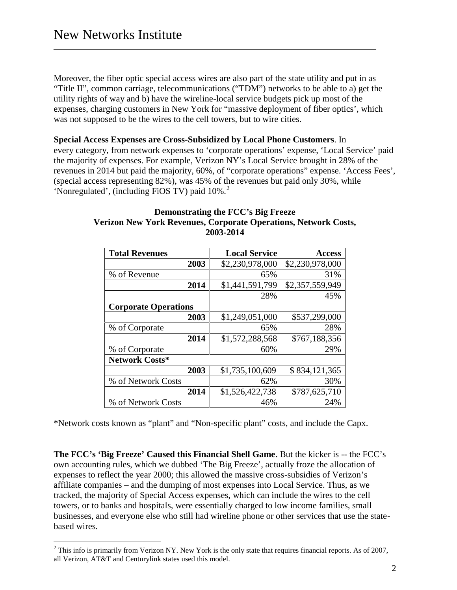Moreover, the fiber optic special access wires are also part of the state utility and put in as "Title II", common carriage, telecommunications ("TDM") networks to be able to a) get the utility rights of way and b) have the wireline-local service budgets pick up most of the expenses, charging customers in New York for "massive deployment of fiber optics', which was not supposed to be the wires to the cell towers, but to wire cities.

## **Special Access Expenses are Cross-Subsidized by Local Phone Customers**. In

every category, from network expenses to 'corporate operations' expense, 'Local Service' paid the majority of expenses. For example, Verizon NY's Local Service brought in 28% of the revenues in 2014 but paid the majority, 60%, of "corporate operations" expense. 'Access Fees', (special access representing 82%), was 45% of the revenues but paid only 30%, while 'Nonregulated', (including FiOS TV) paid 10%.<sup>2</sup>

| <b>Total Revenues</b>       | <b>Local Service</b> | <b>Access</b>   |  |  |
|-----------------------------|----------------------|-----------------|--|--|
| 2003                        | \$2,230,978,000      | \$2,230,978,000 |  |  |
| % of Revenue                | 65%                  | 31%             |  |  |
| 2014                        | \$1,441,591,799      | \$2,357,559,949 |  |  |
|                             | 28%                  | 45%             |  |  |
| <b>Corporate Operations</b> |                      |                 |  |  |
| 2003                        | \$1,249,051,000      | \$537,299,000   |  |  |
| % of Corporate              | 65%                  | 28%             |  |  |
| 2014                        | \$1,572,288,568      | \$767,188,356   |  |  |
| % of Corporate              | 60%                  | 29%             |  |  |
| <b>Network Costs*</b>       |                      |                 |  |  |
| 2003                        | \$1,735,100,609      | \$834,121,365   |  |  |
| % of Network Costs          | 62%                  | 30%             |  |  |
| 2014                        | \$1,526,422,738      | \$787,625,710   |  |  |
| % of Network Costs          | 46%                  | 24%             |  |  |

## **Demonstrating the FCC's Big Freeze Verizon New York Revenues, Corporate Operations, Network Costs, 2003-2014**

\*Network costs known as "plant" and "Non-specific plant" costs, and include the Capx.

**The FCC's 'Big Freeze' Caused this Financial Shell Game**. But the kicker is -- the FCC's own accounting rules, which we dubbed 'The Big Freeze', actually froze the allocation of expenses to reflect the year 2000; this allowed the massive cross-subsidies of Verizon's affiliate companies – and the dumping of most expenses into Local Service. Thus, as we tracked, the majority of Special Access expenses, which can include the wires to the cell towers, or to banks and hospitals, were essentially charged to low income families, small businesses, and everyone else who still had wireline phone or other services that use the state based wires.

 $2^2$  This info is primarily from Verizon NY. New York is the only state that requires financial reports. As of 2007, all Verizon, AT&T and Centurylink states used this model.